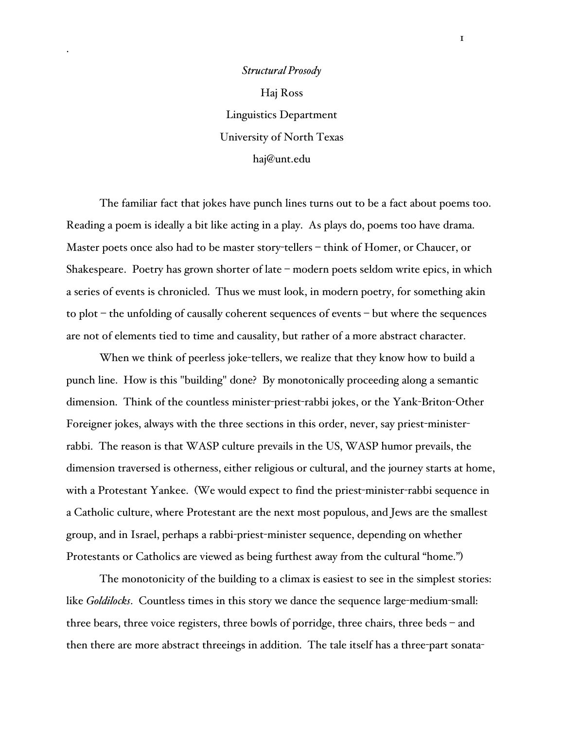## *Structural Prosody* Haj Ross Linguistics Department University of North Texas haj@unt.edu

The familiar fact that jokes have punch lines turns out to be a fact about poems too. Reading a poem is ideally a bit like acting in a play. As plays do, poems too have drama. Master poets once also had to be master story-tellers – think of Homer, or Chaucer, or Shakespeare. Poetry has grown shorter of late – modern poets seldom write epics, in which a series of events is chronicled. Thus we must look, in modern poetry, for something akin to plot – the unfolding of causally coherent sequences of events – but where the sequences are not of elements tied to time and causality, but rather of a more abstract character.

When we think of peerless joke-tellers, we realize that they know how to build a punch line. How is this "building" done? By monotonically proceeding along a semantic dimension. Think of the countless minister-priest-rabbi jokes, or the Yank-Briton-Other Foreigner jokes, always with the three sections in this order, never, say priest-ministerrabbi. The reason is that WASP culture prevails in the US, WASP humor prevails, the dimension traversed is otherness, either religious or cultural, and the journey starts at home, with a Protestant Yankee. (We would expect to find the priest-minister-rabbi sequence in a Catholic culture, where Protestant are the next most populous, and Jews are the smallest group, and in Israel, perhaps a rabbi-priest-minister sequence, depending on whether Protestants or Catholics are viewed as being furthest away from the cultural "home.")

The monotonicity of the building to a climax is easiest to see in the simplest stories: like *Goldilocks*. Countless times in this story we dance the sequence large-medium-small: three bears, three voice registers, three bowls of porridge, three chairs, three beds – and then there are more abstract threeings in addition. The tale itself has a three-part sonata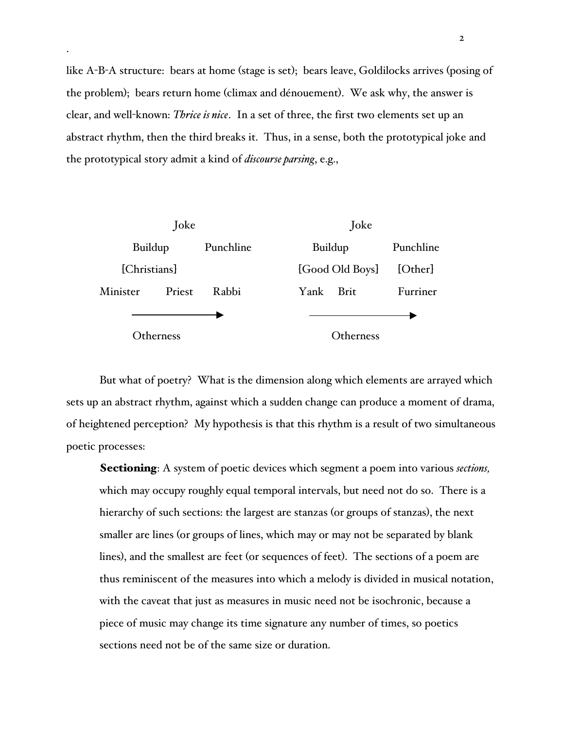like A-B-A structure: bears at home (stage is set); bears leave, Goldilocks arrives (posing of the problem); bears return home (climax and dénouement). We ask why, the answer is clear, and well-known: *Thrice is nice*. In a set of three, the first two elements set up an abstract rhythm, then the third breaks it. Thus, in a sense, both the prototypical joke and the prototypical story admit a kind of *discourse parsing*, e.g.,



But what of poetry? What is the dimension along which elements are arrayed which sets up an abstract rhythm, against which a sudden change can produce a moment of drama, of heightened perception? My hypothesis is that this rhythm is a result of two simultaneous poetic processes:

Sectioning: A system of poetic devices which segment a poem into various *sections,* which may occupy roughly equal temporal intervals, but need not do so. There is a hierarchy of such sections: the largest are stanzas (or groups of stanzas), the next smaller are lines (or groups of lines, which may or may not be separated by blank lines), and the smallest are feet (or sequences of feet). The sections of a poem are thus reminiscent of the measures into which a melody is divided in musical notation, with the caveat that just as measures in music need not be isochronic, because a piece of music may change its time signature any number of times, so poetics sections need not be of the same size or duration.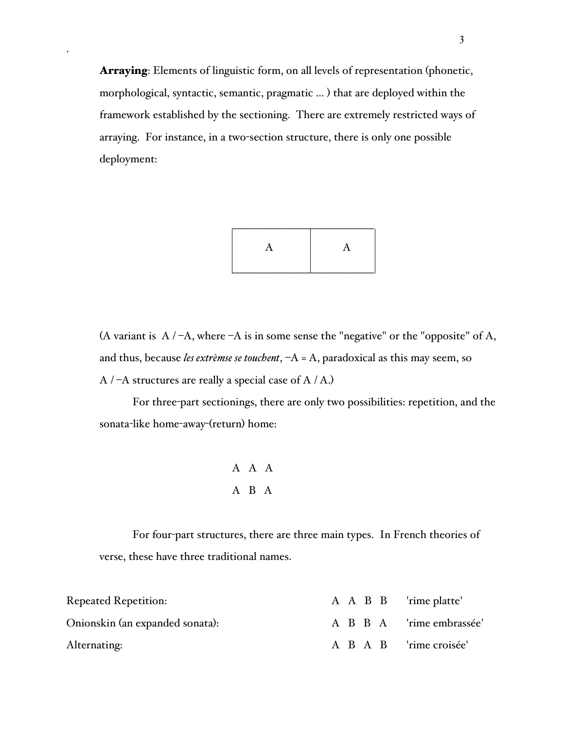Arraying: Elements of linguistic form, on all levels of representation (phonetic, morphological, syntactic, semantic, pragmatic ... ) that are deployed within the framework established by the sectioning. There are extremely restricted ways of arraying. For instance, in a two-section structure, there is only one possible deployment:



(A variant is  $A / -A$ , where  $-A$  is in some sense the "negative" or the "opposite" of A, and thus, because *les extrèmse se touchent*, –A = A, paradoxical as this may seem, so  $A / -A$  structures are really a special case of  $A / A$ .)

For three-part sectionings, there are only two possibilities: repetition, and the sonata-like home-away-(return) home:

$$
\begin{array}{ccc}\nA & A & A \\
A & B & A\n\end{array}
$$

For four-part structures, there are three main types. In French theories of verse, these have three traditional names.

| <b>Repeated Repetition:</b>     |  |  | A A B B 'rime platte'    |
|---------------------------------|--|--|--------------------------|
| Onionskin (an expanded sonata): |  |  | A B B A 'rime embrassée' |
| Alternating:                    |  |  | A B A B 'rime croisée'   |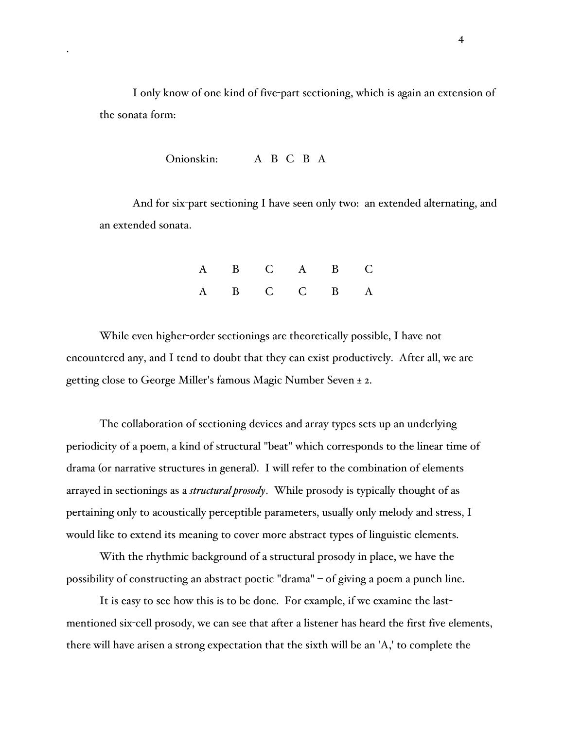I only know of one kind of five-part sectioning, which is again an extension of the sonata form:

Onionskin: A B C B A

And for six-part sectioning I have seen only two: an extended alternating, and an extended sonata.

| A B C A B C |  |  |
|-------------|--|--|
| A B C C B A |  |  |

While even higher-order sectionings are theoretically possible, I have not encountered any, and I tend to doubt that they can exist productively. After all, we are getting close to George Miller's famous Magic Number Seven ± 2.

The collaboration of sectioning devices and array types sets up an underlying periodicity of a poem, a kind of structural "beat" which corresponds to the linear time of drama (or narrative structures in general). I will refer to the combination of elements arrayed in sectionings as a *structural prosody*. While prosody is typically thought of as pertaining only to acoustically perceptible parameters, usually only melody and stress, I would like to extend its meaning to cover more abstract types of linguistic elements.

With the rhythmic background of a structural prosody in place, we have the possibility of constructing an abstract poetic "drama" – of giving a poem a punch line.

It is easy to see how this is to be done. For example, if we examine the lastmentioned six-cell prosody, we can see that after a listener has heard the first five elements, there will have arisen a strong expectation that the sixth will be an 'A,' to complete the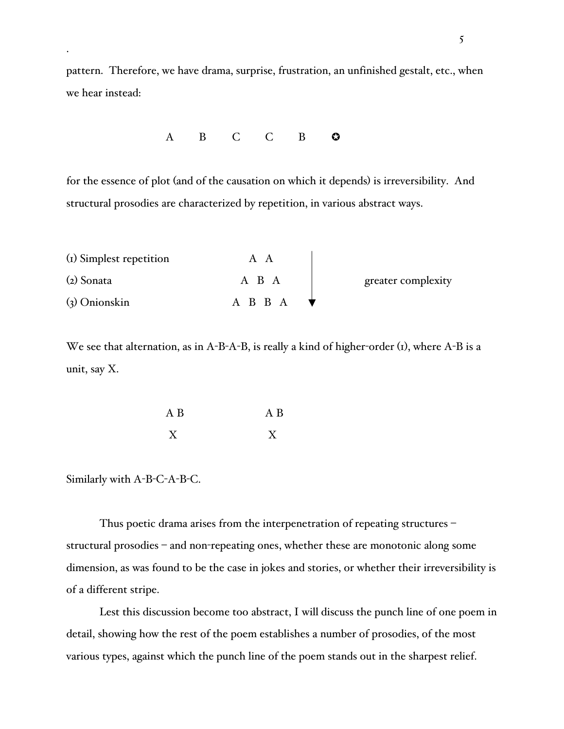pattern. Therefore, we have drama, surprise, frustration, an unfinished gestalt, etc., when we hear instead:

A B C C B **O** 

for the essence of plot (and of the causation on which it depends) is irreversibility. And structural prosodies are characterized by repetition, in various abstract ways.

| (I) Simplest repetition |         |                    |
|-------------------------|---------|--------------------|
| $(z)$ Sonata            | A B A   | greater complexity |
| $(3)$ Onionskin         | A B B A |                    |

We see that alternation, as in A-B-A-B, is really a kind of higher-order (1), where A-B is a unit, say X.

| A B | A B |
|-----|-----|
| X   | Y   |

Similarly with A-B-C-A-B-C.

Thus poetic drama arises from the interpenetration of repeating structures – structural prosodies – and non-repeating ones, whether these are monotonic along some dimension, as was found to be the case in jokes and stories, or whether their irreversibility is of a different stripe.

Lest this discussion become too abstract, I will discuss the punch line of one poem in detail, showing how the rest of the poem establishes a number of prosodies, of the most various types, against which the punch line of the poem stands out in the sharpest relief.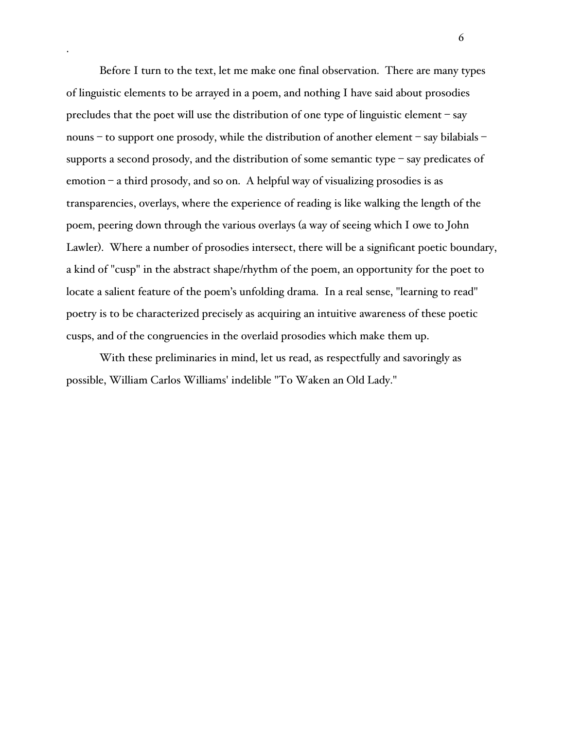Before I turn to the text, let me make one final observation. There are many types of linguistic elements to be arrayed in a poem, and nothing I have said about prosodies precludes that the poet will use the distribution of one type of linguistic element – say nouns – to support one prosody, while the distribution of another element – say bilabials – supports a second prosody, and the distribution of some semantic type – say predicates of emotion – a third prosody, and so on. A helpful way of visualizing prosodies is as transparencies, overlays, where the experience of reading is like walking the length of the poem, peering down through the various overlays (a way of seeing which I owe to John Lawler). Where a number of prosodies intersect, there will be a significant poetic boundary, a kind of "cusp" in the abstract shape/rhythm of the poem, an opportunity for the poet to locate a salient feature of the poem's unfolding drama. In a real sense, "learning to read" poetry is to be characterized precisely as acquiring an intuitive awareness of these poetic cusps, and of the congruencies in the overlaid prosodies which make them up.

With these preliminaries in mind, let us read, as respectfully and savoringly as possible, William Carlos Williams' indelible "To Waken an Old Lady."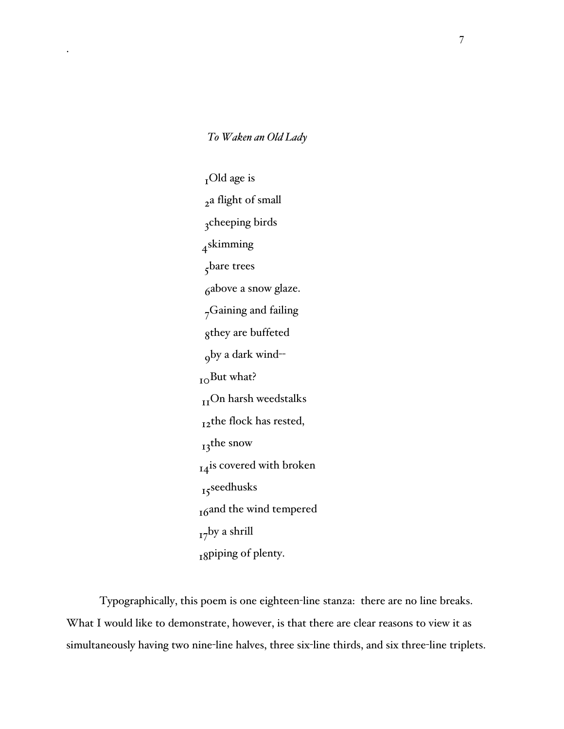*To Waken an Old Lady*

 $_{I}$ Old age is 2a flight of small 3cheeping birds 4skimming 5bare trees 6above a snow glaze. 7Gaining and failing 8they are buffeted 9by a dark wind-- <sub>10</sub>But what? <sub>II</sub>On harsh weedstalks 12the flock has rested, 13<sup>the snow</sup> 14<sup>is</sup> covered with broken 15seedhusks 16and the wind tempered  $_{17}$ by a shrill 18piping of plenty.

Typographically, this poem is one eighteen-line stanza: there are no line breaks. What I would like to demonstrate, however, is that there are clear reasons to view it as simultaneously having two nine-line halves, three six-line thirds, and six three-line triplets.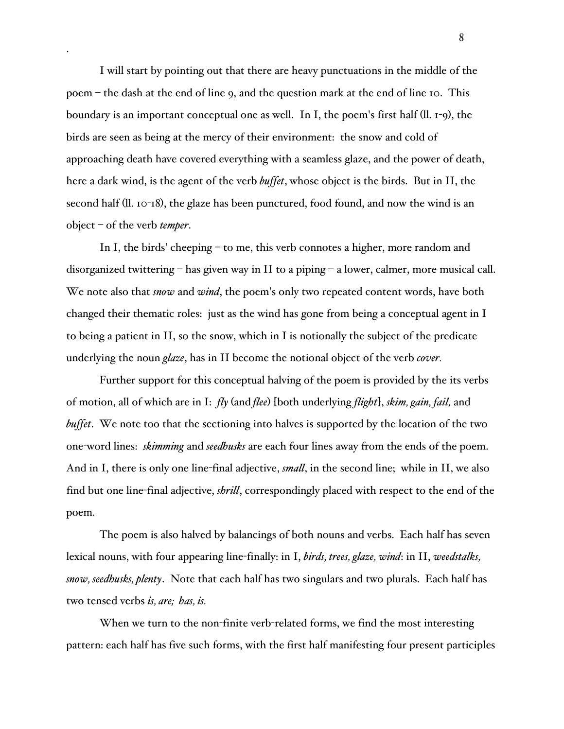I will start by pointing out that there are heavy punctuations in the middle of the poem – the dash at the end of line 9, and the question mark at the end of line 10. This boundary is an important conceptual one as well. In I, the poem's first half (ll. 1-9), the birds are seen as being at the mercy of their environment: the snow and cold of approaching death have covered everything with a seamless glaze, and the power of death, here a dark wind, is the agent of the verb *buffet*, whose object is the birds. But in II, the second half (ll. 10-18), the glaze has been punctured, food found, and now the wind is an object – of the verb *temper*.

In I, the birds' cheeping – to me, this verb connotes a higher, more random and disorganized twittering – has given way in II to a piping – a lower, calmer, more musical call. We note also that *snow* and *wind*, the poem's only two repeated content words, have both changed their thematic roles: just as the wind has gone from being a conceptual agent in I to being a patient in II, so the snow, which in I is notionally the subject of the predicate underlying the noun *glaze*, has in II become the notional object of the verb *cover.*

Further support for this conceptual halving of the poem is provided by the its verbs of motion, all of which are in I: *fly* (and *flee*) [both underlying *flight*], *skim, gain, fail,* and *buffet*. We note too that the sectioning into halves is supported by the location of the two one-word lines: *skimming* and *seedhusks* are each four lines away from the ends of the poem. And in I, there is only one line-final adjective, *small*, in the second line; while in II, we also find but one line-final adjective, *shrill*, correspondingly placed with respect to the end of the poem.

The poem is also halved by balancings of both nouns and verbs. Each half has seven lexical nouns, with four appearing line-finally: in I, *birds, trees, glaze, wind*: in II, *weedstalks, snow, seedhusks, plenty*. Note that each half has two singulars and two plurals. Each half has two tensed verbs *is, are; has, is.*

When we turn to the non-finite verb-related forms, we find the most interesting pattern: each half has five such forms, with the first half manifesting four present participles

8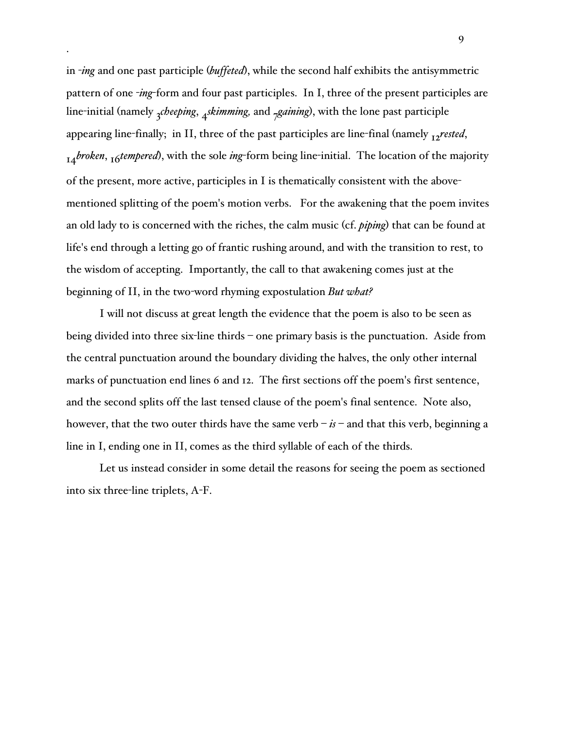in -*ing* and one past participle (*buffeted*), while the second half exhibits the antisymmetric pattern of one -*ing*-form and four past participles. In I, three of the present participles are line-initial (namely <sub>3</sub>*cheeping*, <sub>4</sub>*skimming*, and <sub>7</sub>*gaining*), with the lone past participle appearing line-finally; in II, three of the past participles are line-final (namely 12*rested*, 14*broken*, 16*tempered*), with the sole *ing*-form being line-initial. The location of the majority of the present, more active, participles in I is thematically consistent with the abovementioned splitting of the poem's motion verbs. For the awakening that the poem invites an old lady to is concerned with the riches, the calm music (cf. *piping*) that can be found at life's end through a letting go of frantic rushing around, and with the transition to rest, to the wisdom of accepting. Importantly, the call to that awakening comes just at the beginning of II, in the two-word rhyming expostulation *But what?*

I will not discuss at great length the evidence that the poem is also to be seen as being divided into three six-line thirds – one primary basis is the punctuation. Aside from the central punctuation around the boundary dividing the halves, the only other internal marks of punctuation end lines 6 and 12. The first sections off the poem's first sentence, and the second splits off the last tensed clause of the poem's final sentence. Note also, however, that the two outer thirds have the same verb  $-i\textbf{s}$  – and that this verb, beginning a line in I, ending one in II, comes as the third syllable of each of the thirds.

Let us instead consider in some detail the reasons for seeing the poem as sectioned into six three-line triplets, A-F.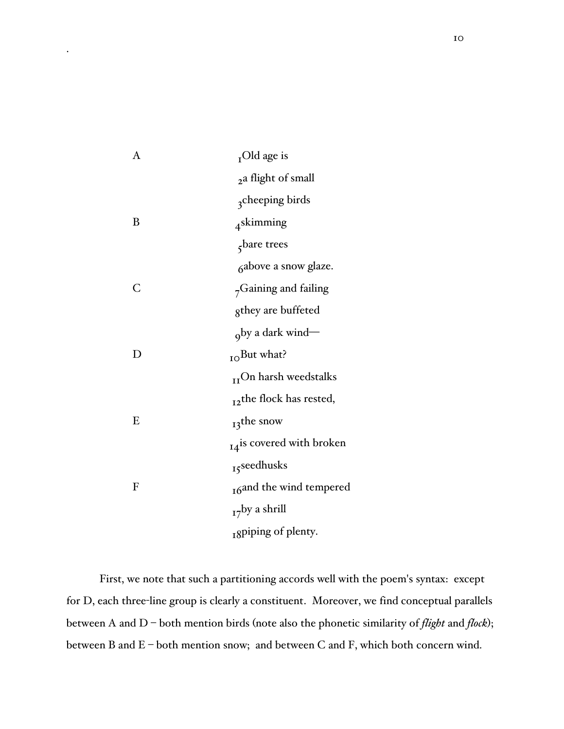| A            | $_{\text{T}}$ Old age is         |
|--------------|----------------------------------|
|              | 2a flight of small               |
|              | <sub>3</sub> cheeping birds      |
| B            | <sub>4</sub> skimming            |
|              | $\zeta$ bare trees               |
|              | <sub>6</sub> above a snow glaze. |
| C            | <sub>7</sub> Gaining and failing |
|              | gthey are buffeted               |
|              | <sub>o</sub> by a dark wind-     |
| $\mathsf{D}$ | $_{\text{IO}}$ But what?         |
|              | $_{II}$ On harsh weedstalks      |
|              | $_{I2}$ the flock has rested,    |
| E            | $_{13}$ the snow                 |
|              | 14is covered with broken         |
|              | 15seedhusks                      |
| F            | 16and the wind tempered          |
|              | $_{17}$ by a shrill              |
|              | <sub>I</sub> spiping of plenty.  |

First, we note that such a partitioning accords well with the poem's syntax: except for D, each three-line group is clearly a constituent. Moreover, we find conceptual parallels between A and D – both mention birds (note also the phonetic similarity of *flight* and *flock*); between B and E – both mention snow; and between C and F, which both concern wind.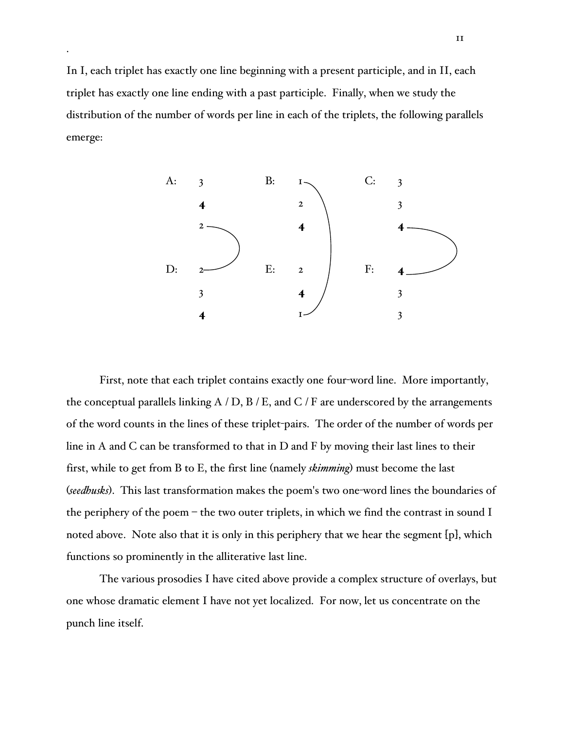In I, each triplet has exactly one line beginning with a present participle, and in II, each triplet has exactly one line ending with a past participle. Finally, when we study the distribution of the number of words per line in each of the triplets, the following parallels emerge:



First, note that each triplet contains exactly one four-word line. More importantly, the conceptual parallels linking  $A / D$ ,  $B / E$ , and C / F are underscored by the arrangements of the word counts in the lines of these triplet-pairs. The order of the number of words per line in A and C can be transformed to that in D and F by moving their last lines to their first, while to get from B to E, the first line (namely *skimming*) must become the last (*seedhusks*). This last transformation makes the poem's two one-word lines the boundaries of the periphery of the poem – the two outer triplets, in which we find the contrast in sound I noted above. Note also that it is only in this periphery that we hear the segment [p], which functions so prominently in the alliterative last line.

The various prosodies I have cited above provide a complex structure of overlays, but one whose dramatic element I have not yet localized. For now, let us concentrate on the punch line itself.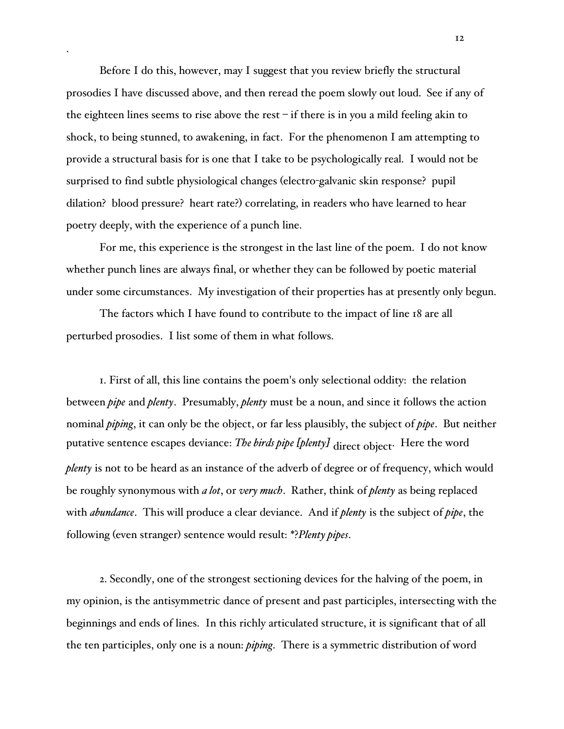Before I do this, however, may I suggest that you review briefly the structural prosodies I have discussed above, and then reread the poem slowly out loud. See if any of the eighteen lines seems to rise above the rest  $-$  if there is in you a mild feeling akin to shock, to being stunned, to awakening, in fact. For the phenomenon I am attempting to provide a structural basis for is one that I take to be psychologically real. I would not be surprised to find subtle physiological changes (electro-galvanic skin response? pupil dilation? blood pressure? heart rate?) correlating, in readers who have learned to hear poetry deeply, with the experience of a punch line.

For me, this experience is the strongest in the last line of the poem. I do not know whether punch lines are always final, or whether they can be followed by poetic material under some circumstances. My investigation of their properties has at presently only begun.

The factors which I have found to contribute to the impact of line 18 are all perturbed prosodies. I list some of them in what follows.

1. First of all, this line contains the poem's only selectional oddity: the relation between *pipe* and *plenty*. Presumably, *plenty* must be a noun, and since it follows the action nominal *piping*, it can only be the object, or far less plausibly, the subject of *pipe*. But neither putative sentence escapes deviance: *The birds pipe [plenty]* direct object. Here the word *plenty* is not to be heard as an instance of the adverb of degree or of frequency, which would be roughly synonymous with *a lot*, or *very much*. Rather, think of *plenty* as being replaced with *abundance*. This will produce a clear deviance. And if *plenty* is the subject of *pipe*, the following (even stranger) sentence would result: \*?*Plenty pipes*.

2. Secondly, one of the strongest sectioning devices for the halving of the poem, in my opinion, is the antisymmetric dance of present and past participles, intersecting with the beginnings and ends of lines. In this richly articulated structure, it is significant that of all the ten participles, only one is a noun: *piping*. There is a symmetric distribution of word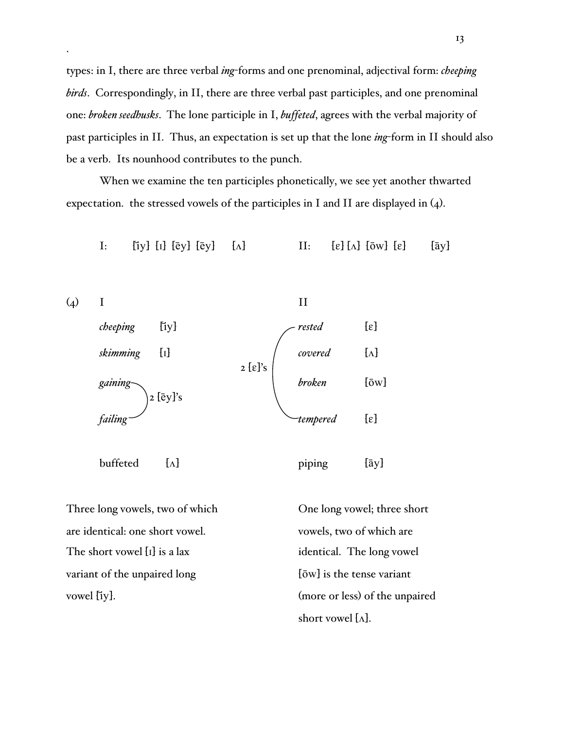types: in I, there are three verbal *ing*-forms and one prenominal, adjectival form: *cheeping birds*. Correspondingly, in II, there are three verbal past participles, and one prenominal one: *broken seedhusks*. The lone participle in I, *buffeted*, agrees with the verbal majority of past participles in II. Thus, an expectation is set up that the lone *ing*-form in II should also be a verb. Its nounhood contributes to the punch.

When we examine the ten participles phonetically, we see yet another thwarted expectation. the stressed vowels of the participles in I and II are displayed in (4).

I: [iy]  $[i]$  [ey]  $[e]$   $[\lambda]$   $[1]$   $[e]$   $[\bar{e}$   $[1]$   $[e]$   $[\bar{e}$   $[\bar{e}$   $[1]$   $[e]$   $[\bar{e}$   $[1]$   $[e]$   $[\bar{e}$   $[1]$   $[e]$   $[\bar{e}$   $[1]$   $[e]$   $[e]$   $[e]$   $[e]$   $[e]$   $[e]$   $[e]$ 



Three long vowels, two of which One long vowel; three short are identical: one short vowel. vowels, two of which are The short vowel [I] is a lax identical. The long vowel variant of the unpaired long  $[\bar{\text{o}}w]$  is the tense variant vowel [iy]. (more or less) of the unpaired

short vowel  $[\Lambda]$ .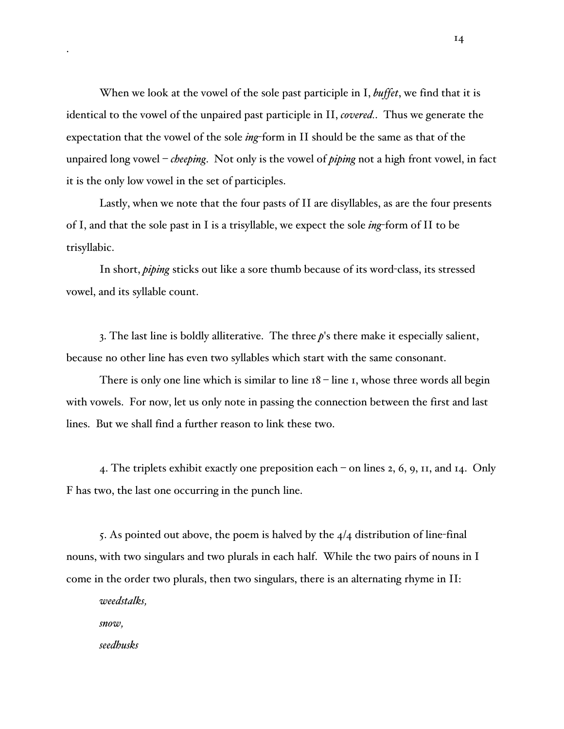When we look at the vowel of the sole past participle in I, *buffet*, we find that it is identical to the vowel of the unpaired past participle in II, *covered.*. Thus we generate the expectation that the vowel of the sole *ing*-form in II should be the same as that of the unpaired long vowel – *cheeping*. Not only is the vowel of *piping* not a high front vowel, in fact it is the only low vowel in the set of participles.

Lastly, when we note that the four pasts of II are disyllables, as are the four presents of I, and that the sole past in I is a trisyllable, we expect the sole *ing*-form of II to be trisyllabic.

In short, *piping* sticks out like a sore thumb because of its word-class, its stressed vowel, and its syllable count.

3. The last line is boldly alliterative. The three *p*'s there make it especially salient, because no other line has even two syllables which start with the same consonant.

There is only one line which is similar to line  $18 -$ line 1, whose three words all begin with vowels. For now, let us only note in passing the connection between the first and last lines. But we shall find a further reason to link these two.

4. The triplets exhibit exactly one preposition each – on lines 2, 6, 9, 11, and 14. Only F has two, the last one occurring in the punch line.

5. As pointed out above, the poem is halved by the  $4/4$  distribution of line-final nouns, with two singulars and two plurals in each half. While the two pairs of nouns in I come in the order two plurals, then two singulars, there is an alternating rhyme in II:

*weedstalks,*

*snow,*

*seedhusks*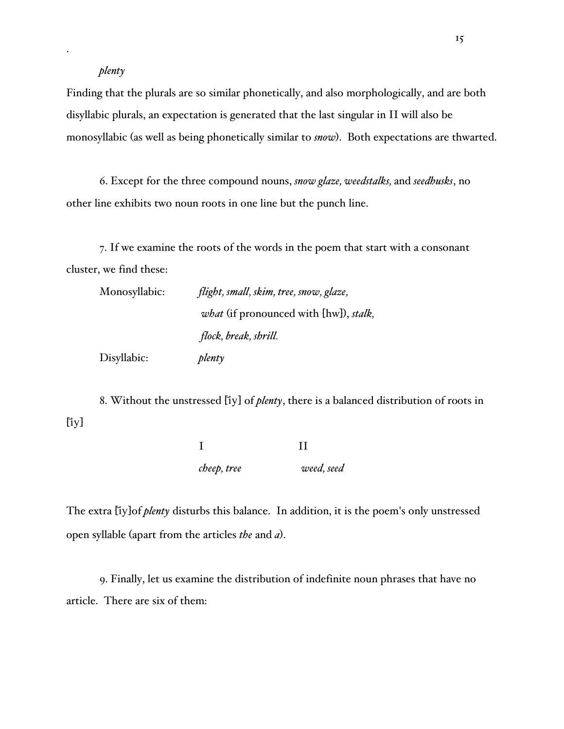## *plenty*

Finding that the plurals are so similar phonetically, and also morphologically, and are both disyllabic plurals, an expectation is generated that the last singular in II will also be monosyllabic (as well as being phonetically similar to *snow*). Both expectations are thwarted.

6. Except for the three compound nouns, *snow glaze, weedstalks,* and *seedhusks*, no other line exhibits two noun roots in one line but the punch line.

7. If we examine the roots of the words in the poem that start with a consonant cluster, we find these:

| Monosyllabic: | flight, small, skim, tree, snow, glaze,               |
|---------------|-------------------------------------------------------|
|               | <i>what</i> (if pronounced with [hw]), <i>stalk</i> , |
|               | flock, break, shrill.                                 |
| Disyllabic:   | plenty                                                |

8. Without the unstressed [iy] of *plenty*, there is a balanced distribution of roots in  $[iy]$ 

> I II *cheep, tree weed, seed*

The extra [iy]of *plenty* disturbs this balance. In addition, it is the poem's only unstressed open syllable (apart from the articles *the* and *a*).

9. Finally, let us examine the distribution of indefinite noun phrases that have no article. There are six of them: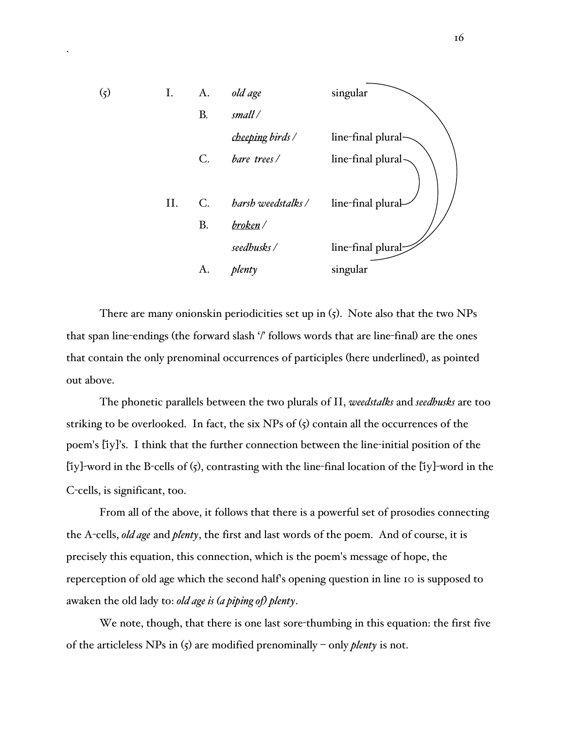

There are many onionskin periodicities set up in (5). Note also that the two NPs that span line-endings (the forward slash '/' follows words that are line-final) are the ones that contain the only prenominal occurrences of participles (here underlined), as pointed out above.

The phonetic parallels between the two plurals of II, *weedstalks* and *seedhusks* are too striking to be overlooked. In fact, the six NPs of  $(5)$  contain all the occurrences of the poem's [iy]'s. I think that the further connection between the line-initial position of the [iy]-word in the B-cells of  $\zeta$ ), contrasting with the line-final location of the [iy]-word in the C-cells, is significant, too.

From all of the above, it follows that there is a powerful set of prosodies connecting the A-cells, *old age* and *plenty*, the first and last words of the poem. And of course, it is precisely this equation, this connection, which is the poem's message of hope, the reperception of old age which the second half's opening question in line 10 is supposed to awaken the old lady to: *old age is (a piping of) plenty*.

We note, though, that there is one last sore-thumbing in this equation: the first five of the articleless NPs in (5) are modified prenominally – only *plenty* is not.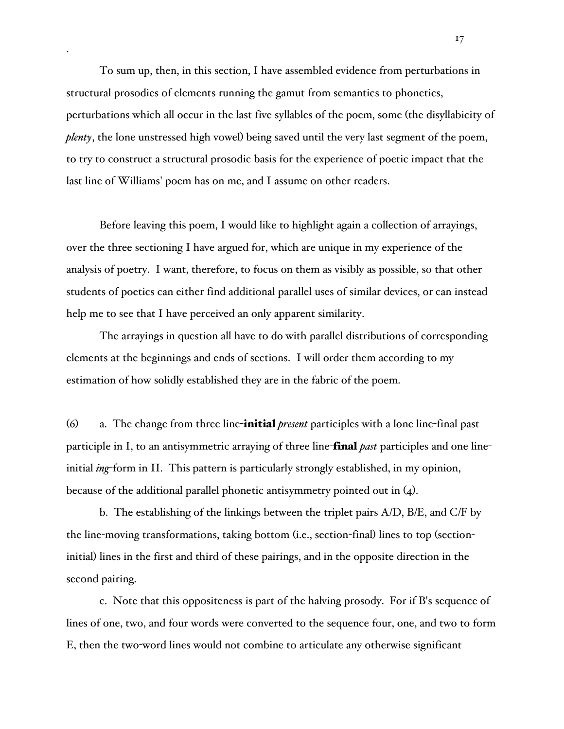To sum up, then, in this section, I have assembled evidence from perturbations in structural prosodies of elements running the gamut from semantics to phonetics, perturbations which all occur in the last five syllables of the poem, some (the disyllabicity of *plenty*, the lone unstressed high vowel) being saved until the very last segment of the poem, to try to construct a structural prosodic basis for the experience of poetic impact that the last line of Williams' poem has on me, and I assume on other readers.

Before leaving this poem, I would like to highlight again a collection of arrayings, over the three sectioning I have argued for, which are unique in my experience of the analysis of poetry. I want, therefore, to focus on them as visibly as possible, so that other students of poetics can either find additional parallel uses of similar devices, or can instead help me to see that I have perceived an only apparent similarity.

The arrayings in question all have to do with parallel distributions of corresponding elements at the beginnings and ends of sections. I will order them according to my estimation of how solidly established they are in the fabric of the poem.

(6) a. The change from three line-initial *present* participles with a lone line-final past participle in I, to an antisymmetric arraying of three line-final *past* participles and one lineinitial *ing*-form in II. This pattern is particularly strongly established, in my opinion, because of the additional parallel phonetic antisymmetry pointed out in  $(4)$ .

b. The establishing of the linkings between the triplet pairs A/D, B/E, and C/F by the line-moving transformations, taking bottom (i.e., section-final) lines to top (sectioninitial) lines in the first and third of these pairings, and in the opposite direction in the second pairing.

c. Note that this oppositeness is part of the halving prosody. For if B's sequence of lines of one, two, and four words were converted to the sequence four, one, and two to form E, then the two-word lines would not combine to articulate any otherwise significant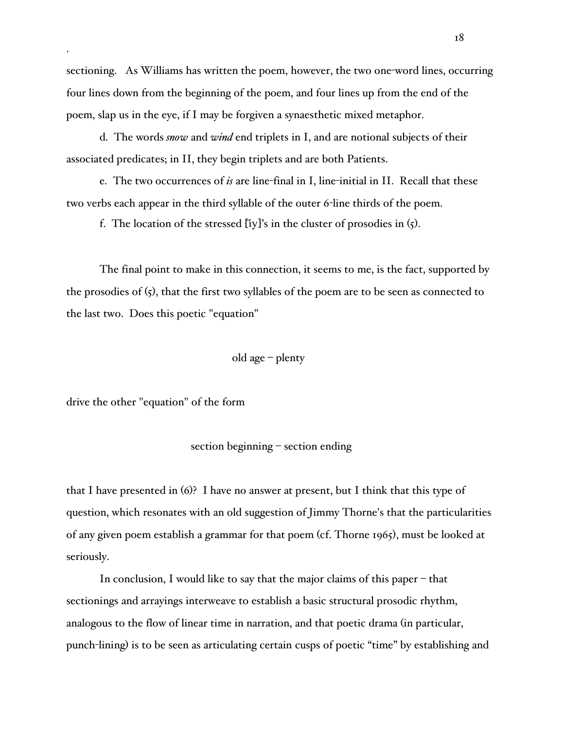sectioning. As Williams has written the poem, however, the two one-word lines, occurring four lines down from the beginning of the poem, and four lines up from the end of the poem, slap us in the eye, if I may be forgiven a synaesthetic mixed metaphor.

d. The words *snow* and *wind* end triplets in I, and are notional subjects of their associated predicates; in II, they begin triplets and are both Patients.

e. The two occurrences of *is* are line-final in I, line-initial in II. Recall that these two verbs each appear in the third syllable of the outer 6-line thirds of the poem.

f. The location of the stressed  $[$ iy]'s in the cluster of prosodies in  $(5)$ .

The final point to make in this connection, it seems to me, is the fact, supported by the prosodies of (5), that the first two syllables of the poem are to be seen as connected to the last two. Does this poetic "equation"

old age – plenty

drive the other "equation" of the form

## section beginning – section ending

that I have presented in (6)? I have no answer at present, but I think that this type of question, which resonates with an old suggestion of Jimmy Thorne's that the particularities of any given poem establish a grammar for that poem (cf. Thorne 1965), must be looked at seriously.

In conclusion, I would like to say that the major claims of this paper – that sectionings and arrayings interweave to establish a basic structural prosodic rhythm, analogous to the flow of linear time in narration, and that poetic drama (in particular, punch-lining) is to be seen as articulating certain cusps of poetic "time" by establishing and